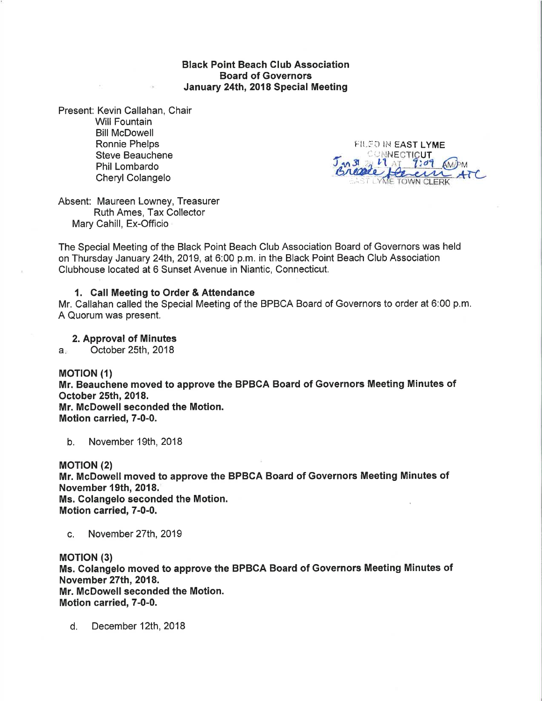Black Point Beach Glub Association Board of Governors January 24th, 2018 Special Meeting

Present: Kevin Callahan, Chair Will Fountain Bill McDowell Ronnie Phelps Steve Beauchene Phil Lombardo Cheryl Colangelo

At 10

FILED IN EAST LYME ANNECTICUT<br>21 at 7:09  $\circ$ M

Absent: Maureen Lowney, Treasurer Ruth Ames, Tax Collector Mary Cahill, Ex-Officio

The Special Meeting of the Black Point Beach Club Association Board of Governors was held on Thursday January 24th, 2019, at 6:00 p.m. in the Black Point Beach Club Association Clubhouse located at 6 Sunset Avenue in Niantic, Connecticut.

## 1. Gall Meeting to Order & Attendance

Mr. Callahan called the Special Meeting of the BPBCA Board of Governors to order at 6:00 p.m. A Quorum was present.

2. Approval of Minutes

a. October 25th, 2018

#### **MOTION** (1)

Mr. Beauchene moved to approve the BPBCA Board of Governors Meeting Minutes of October 25th, 2018. Mr. McDowell seconded the Motion. Motion carried, T-0-0.

b. November 1gth,2018

MOTION (2) Mr. McDowell moved to approve the BPBGA Board of Governors Meeting Minutes of November 19th, 2018. Ms. Colangelo seconded the Motion.

Motion carried, 7-0-0.

c. November 27th,2019

**MOTION (3)** Ms. Colangelo moved to approve the BPBCA Board of Governors Meeting Minutes of November 27th,2018. Mr. McDowell seconded the Motion. Motion carried, T-0-0.

d. December 121h,2018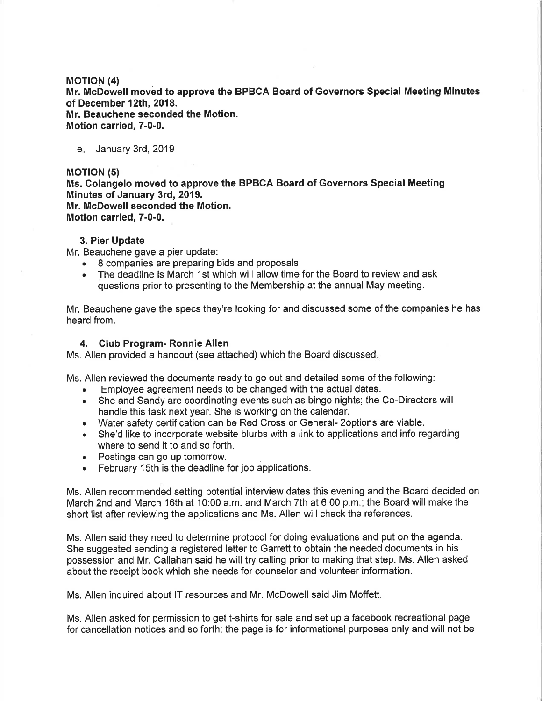### MofloN (4)

Mr. McDowell moved to approve the BPBCA Board of Governors Special Meeting Minutes of December 12th, 2018. Mr. Beauchene seconded the Motion. Motion carried, T-0-0.

e. January 3rd, 2019

# **MOTION (5)**

Ms. Colangelo moved to approve the BPBGA Board of Governors Special Meeting Minutes of January 3rd, 2019. Mr. McDowell seconded the Motion. Motion carried, T-0-0.

## 3. Pier Update

Mr. Beauchene gave a pier update:

- . 8 companies are preparing bids and proposals.
- . The deadline is March 1st which will allow time for the Board to review and ask questions prior to presenting to the Membership at the annual May meeting.

Mr. Beauchene gave the specs they're looking for and discussed some of the companies he has heard from.

# 4. Club Program- Ronnie Allen

Ms, Allen provided a handout (see attached) which the Board discussed

Ms. Allen reviewed the documents ready to go out and detailed some of the following:

- . Employee agreement needs to be changed with the actual dates.
- . She and Sandy are coordinating events such as bingo nights; the Co-Directors will handle this task next year. She is working on the calendar.
- . Water safety certification can be Red Cross or General- 2options are viable.
- . She'd like to incorporate website blurbs with a link to applications and info regarding where to send it to and so forth.
- . Postings can go up tomorrow.
- . February 15th is the deadline for job applications.

Ms. Allen recommended setting potential interview dates this evening and the Board decided on March 2nd and March 16th at 10:00 a.m. and March 7th at 6:00 p.m,; the Board will make the short list after reviewing the applications and Ms. Allen will check the references.

Ms. Allen said they need to determine protocol for doing evaluations and put on the agenda. She suggested sending a registered letter to Garrett to obtain the needed documents in his possession and Mr. Callahan said he will try calling prior to making that step. Ms. Allen asked about the receipt book which she needs for counselor and volunteer information.

Ms. Allen inquired about lT resources and Mr. McDowell said Jim Moffett.

Ms. Allen asked for permission to get t-shirts for sale and set up a facebook recreational page for cancellation notices and so forth; the page is for informational purposes only and will not be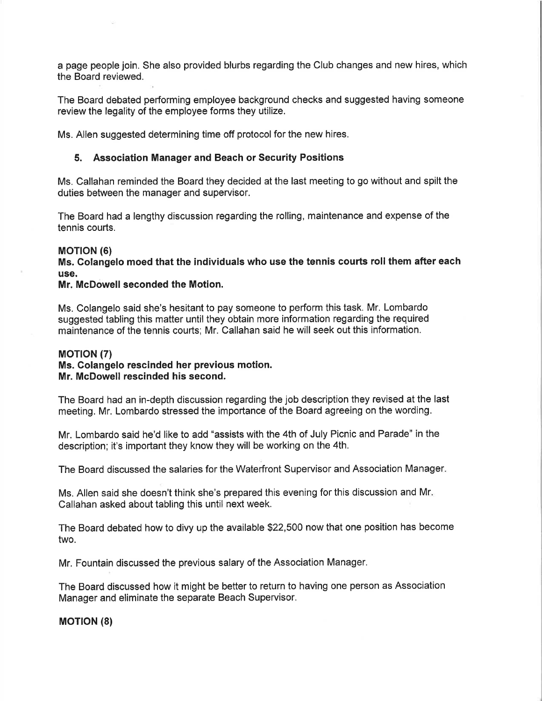a page people join. She also provided blurbs regarding the Club changes and new hires, which the Board reviewed.

The Board debated performing employee background checks and suggested having someone review the legality of the employee forms they utilize.

Ms. Allen suggested determining time off protocol for the new hires.

# 5. Association Manager and Beach or Security Positions

Ms. Callahan reminded the Board they decided at the last meeting to go without and spilt the duties between the manager and supervisor.

The Board had a lengthy discussion regarding the rolling, maintenance and expense of the tennis courts.

#### MOT|ON (6)

Ms. Colangelo moed that the individuals who use the tennis courts roll them after each use.

# Mr. McDowell seconded the Motion.

Ms. Colangelo said she's hesitant to pay someone to perform this task. Mr. Lombardo suggested tabling this matter until they obtain more information regarding the required maintenance of the tennis courts; Mr. Callahan said he will seek out this information.

### MOT|ON (7)

# Ms. Colangelo rescinded her previous motion. Mr. McDowell rescinded his second.

The Board had an in-depth discussion regarding the job description they revised at the last meeting. Mr. Lombardo stressed the importance of the Board agreeing on the wording.

Mr. Lombardo said he'd like to add "assists with the 4th of July Picnic and Parade" in the description; it's important they know they will be working on the 4th.

The Board discussed the salaries for the Waterfront Supervisor and Association Manager

Ms. Allen said she doesn't think she's prepared this evening for this discussion and Mr Callahan asked about tabling this until next week.

The Board debated how to divy up the available \$22,500 now that one position has become two.

Mr. Fountain discussed the previous salary of the Association Manager.

The Board discussed how it might be better to return to having one person as Association Manager and eliminate the separate Beach Supervisor,

**MOTION (8)**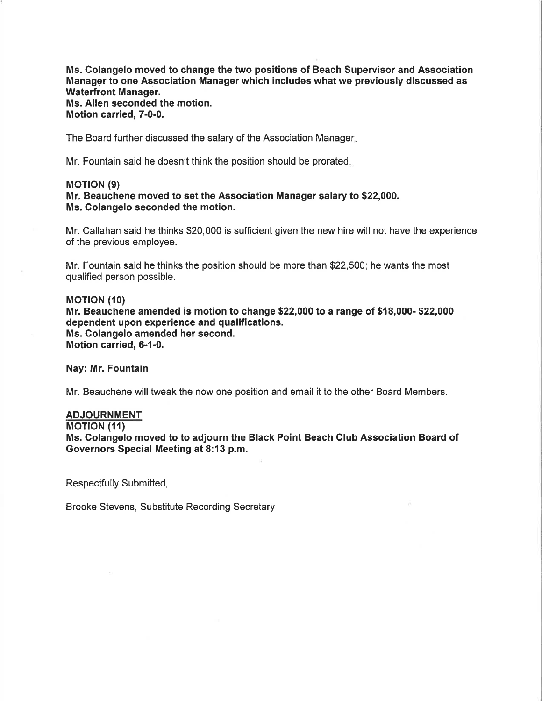Ms. Colangelo moved to change the two positions of Beach Supervisor and Association Managgr to one Association Manager which includes what we previously discussed as Waterfront Manager. Ms. Allen seconded the motion. Motion carried, T-0-0.

The Board further discussed the salary of the Association Manager

Mr. Fountain said he doesn't think the position should be prorated

#### MOT|ON (e)

# Mr. Beauchene moved to set the Association Manager salary to \$22,000. Ms. Golangelo seconded the motion.

Mr, Callahan said he thinks \$20,000 is sufficient given the new hire will not have the experience of the previous employee.

Mr. Fountain said he thinks the position should be more than \$22,500; he wants the most qualified person possible.

#### **MOTION (10)**

Mr. Beauchene amended is motion to change \$22,000 to a range of \$18,000- \$22,000 dependent upon experience and qualifications. Ms. Colangelo amended her second. Motion carried, 6-1-0.

Nay: Mr. Fountain

Mr. Beauchene will tweak the now one position and email it to the other Board Members.

# ADJOURNMENT

**MOTION (11)** 

Ms. Colangelo moved to to adjourn the Black Point Beach Club Association Board of Governors Special Meeting at 8:13 p.m.

Respectfully Submitted,

Brooke Stevens, Substitute Recording Secretary